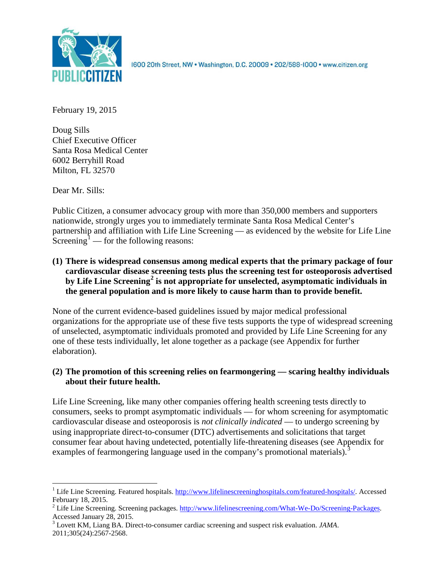

1600 20th Street, NW . Washington, D.C. 20009 . 202/588-1000 . www.citizen.org

February 19, 2015

Doug Sills Chief Executive Officer Santa Rosa Medical Center 6002 Berryhill Road Milton, FL 32570

Dear Mr. Sills:

Public Citizen, a consumer advocacy group with more than 350,000 members and supporters nationwide, strongly urges you to immediately terminate Santa Rosa Medical Center's partnership and affiliation with Life Line Screening — as evidenced by the website for Life Line Screening<sup>[1](#page-0-0)</sup> — for the following reasons:

**(1) There is widespread consensus among medical experts that the primary package of four cardiovascular disease screening tests plus the screening test for osteoporosis advertised by Life Line Screening[2](#page-0-1) is not appropriate for unselected, asymptomatic individuals in the general population and is more likely to cause harm than to provide benefit.**

None of the current evidence-based guidelines issued by major medical professional organizations for the appropriate use of these five tests supports the type of widespread screening of unselected, asymptomatic individuals promoted and provided by Life Line Screening for any one of these tests individually, let alone together as a package (see Appendix for further elaboration).

# **(2) The promotion of this screening relies on fearmongering — scaring healthy individuals about their future health.**

Life Line Screening, like many other companies offering health screening tests directly to consumers, seeks to prompt asymptomatic individuals — for whom screening for asymptomatic cardiovascular disease and osteoporosis is *not clinically indicated* — to undergo screening by using inappropriate direct-to-consumer (DTC) advertisements and solicitations that target consumer fear about having undetected, potentially life-threatening diseases (see Appendix for examples of fearmongering language used in the company's promotional materials).<sup>[3](#page-0-2)</sup>

<span id="page-0-0"></span><sup>&</sup>lt;sup>1</sup> Life Line Screening. Featured hospitals. [http://www.lifelinescreeninghospitals.com/featured-hospitals/.](http://www.lifelinescreeninghospitals.com/featured-hospitals/) Accessed

<span id="page-0-1"></span>February 18, 2015.<br><sup>2</sup> Life Line Screening. Screening packages. [http://www.lifelinescreening.com/What-We-Do/Screening-Packages.](http://www.lifelinescreening.com/What-We-Do/Screening-Packages)<br>Accessed January 28, 2015.

<span id="page-0-2"></span><sup>&</sup>lt;sup>3</sup> Lovett KM, Liang BA. Direct-to-consumer cardiac screening and suspect risk evaluation. *JAMA*. 2011;305(24):2567-2568.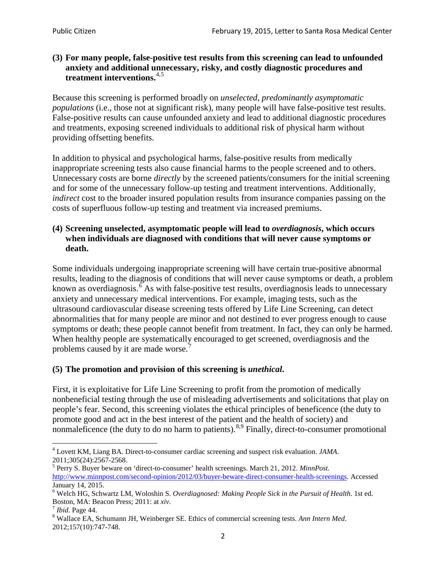# **(3) For many people, false-positive test results from this screening can lead to unfounded anxiety and additional unnecessary, risky, and costly diagnostic procedures and treatment interventions.**[4](#page-1-0),[5](#page-1-1)

Because this screening is performed broadly on *unselected, predominantly asymptomatic populations* (i.e., those not at significant risk), many people will have false**-**positive test results. False-positive results can cause unfounded anxiety and lead to additional diagnostic procedures and treatments, exposing screened individuals to additional risk of physical harm without providing offsetting benefits.

In addition to physical and psychological harms, false-positive results from medically inappropriate screening tests also cause financial harms to the people screened and to others. Unnecessary costs are borne *directly* by the screened patients/consumers for the initial screening and for some of the unnecessary follow-up testing and treatment interventions. Additionally, *indirect* cost to the broader insured population results from insurance companies passing on the costs of superfluous follow-up testing and treatment via increased premiums.

# **(4) Screening unselected, asymptomatic people will lead to** *overdiagnosis***, which occurs when individuals are diagnosed with conditions that will never cause symptoms or death.**

Some individuals undergoing inappropriate screening will have certain true-positive abnormal results, leading to the diagnosis of conditions that will never cause symptoms or death, a problem known as overdiagnosis.<sup>[6](#page-1-2)</sup> As with false-positive test results, overdiagnosis leads to unnecessary anxiety and unnecessary medical interventions. For example, imaging tests, such as the ultrasound cardiovascular disease screening tests offered by Life Line Screening, can detect abnormalities that for many people are minor and not destined to ever progress enough to cause symptoms or death; these people cannot benefit from treatment. In fact, they can only be harmed. When healthy people are systematically encouraged to get screened, overdiagnosis and the problems caused by it are made worse.<sup>[7](#page-1-3)</sup>

# **(5) The promotion and provision of this screening is** *unethical***.**

First, it is exploitative for Life Line Screening to profit from the promotion of medically nonbeneficial testing through the use of misleading advertisements and solicitations that play on people's fear. Second, this screening violates the ethical principles of beneficence (the duty to promote good and act in the best interest of the patient and the health of society) and nonmaleficence (the duty to do no harm to patients).<sup>[8](#page-1-4),[9](#page-1-5)</sup> Finally, direct-to-consumer promotional

<span id="page-1-4"></span>2012;157(10):747-748.

<span id="page-1-5"></span><span id="page-1-0"></span><sup>4</sup> Lovett KM, Liang BA. Direct-to-consumer cardiac screening and suspect risk evaluation. *JAMA*.

<span id="page-1-1"></span><sup>2011;305(24):2567-2568.</sup> <sup>5</sup> Perry S. Buyer beware on 'direct-to-consumer' health screenings. March 21, 2012. *MinnPost.*  [http://www.minnpost.com/second-opinion/2012/03/buyer-beware-direct-consumer-health-screenings.](http://www.minnpost.com/second-opinion/2012/03/buyer-beware-direct-consumer-health-screenings) Accessed January 14, 2015.

<span id="page-1-2"></span><sup>6</sup> Welch HG, Schwartz LM, Woloshin S. *Overdiagnosed: Making People Sick in the Pursuit of Health*. 1st ed. Boston, MA: Beacon Press; 2011: at *xiv*.<br><sup>7</sup> *Ibid*. Page 44.<br><sup>8</sup> Wallace EA, Schumann JH, Weinberger SE. Ethics of commercial screening tests. *Ann Intern Med*.

<span id="page-1-3"></span>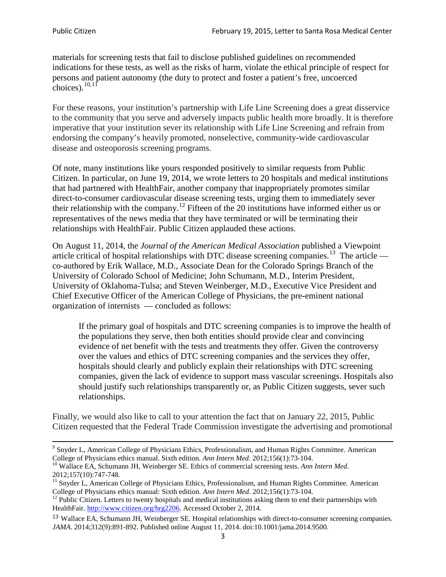materials for screening tests that fail to disclose published guidelines on recommended indications for these tests, as well as the risks of harm, violate the ethical principle of respect for persons and patient autonomy (the duty to protect and foster a patient's free, uncoerced choices). $\frac{10,11}{10,11}$  $\frac{10,11}{10,11}$  $\frac{10,11}{10,11}$  $\frac{10,11}{10,11}$ 

For these reasons, your institution's partnership with Life Line Screening does a great disservice to the community that you serve and adversely impacts public health more broadly. It is therefore imperative that your institution sever its relationship with Life Line Screening and refrain from endorsing the company's heavily promoted, nonselective, community**-**wide cardiovascular disease and osteoporosis screening programs.

Of note, many institutions like yours responded positively to similar requests from Public Citizen. In particular, on June 19, 2014, we wrote letters to 20 hospitals and medical institutions that had partnered with HealthFair, another company that inappropriately promotes similar direct-to-consumer cardiovascular disease screening tests, urging them to immediately sever their relationship with the company. [12](#page-2-2) Fifteen of the 20 institutions have informed either us or representatives of the news media that they have terminated or will be terminating their relationships with HealthFair. Public Citizen applauded these actions.

On August 11, 2014, the *Journal of the American Medical Association* published a Viewpoint article critical of hospital relationships with DTC disease screening companies.<sup>13</sup> The article co-authored by Erik Wallace, M.D., Associate Dean for the Colorado Springs Branch of the University of Colorado School of Medicine; John Schumann, M.D., Interim President, University of Oklahoma-Tulsa; and Steven Weinberger, M.D., Executive Vice President and Chief Executive Officer of the American College of Physicians, the pre**-**eminent national organization of internists — concluded as follows:

If the primary goal of hospitals and DTC screening companies is to improve the health of the populations they serve, then both entities should provide clear and convincing evidence of net benefit with the tests and treatments they offer. Given the controversy over the values and ethics of DTC screening companies and the services they offer, hospitals should clearly and publicly explain their relationships with DTC screening companies, given the lack of evidence to support mass vascular screenings. Hospitals also should justify such relationships transparently or, as Public Citizen suggests, sever such relationships.

Finally, we would also like to call to your attention the fact that on January 22, 2015, Public Citizen requested that the Federal Trade Commission investigate the advertising and promotional

<sup>&</sup>lt;sup>9</sup> Snyder L, American College of Physicians Ethics, Professionalism, and Human Rights Committee. American College of Physicians ethics manual. Sixth edition. Ann Intern Med. 2012;156(1):73-104.

<span id="page-2-0"></span><sup>&</sup>lt;sup>10</sup> Wallace EA, Schumann JH, Weinberger SE. Ethics of commercial screening tests. *Ann Intern Med*. 2012;157(10):747-748.

<span id="page-2-1"></span> $11$  Snyder L, American College of Physicians Ethics, Professionalism, and Human Rights Committee. American College of Physicians ethics manual: Sixth edition. *Ann Intern Med*. 2012;156(1):73-104.<br><sup>12</sup> Public Citizen. Letters to twenty hospitals and medical institutions asking them to end their partnerships with

<span id="page-2-2"></span>HealthFair. [http://www.citizen.org/hrg2206.](http://www.citizen.org/hrg2206) Accessed October 2, 2014.

<span id="page-2-3"></span><sup>13</sup> Wallace EA, Schumann JH, Weinberger SE. Hospital relationships with direct-to-consumer screening companies. *JAMA*. 2014;312(9):891-892. Published online August 11, 2014. doi:10.1001/jama.2014.9500.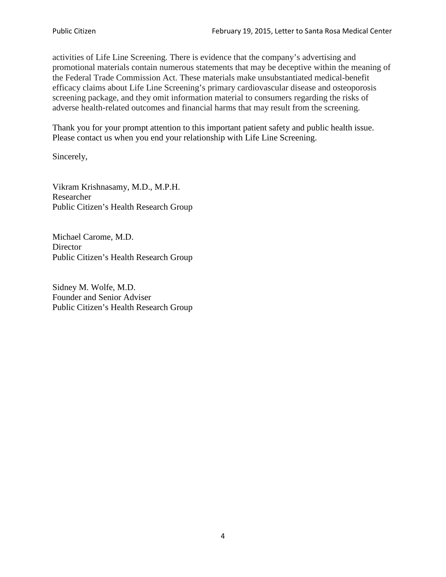activities of Life Line Screening. There is evidence that the company's advertising and promotional materials contain numerous statements that may be deceptive within the meaning of the Federal Trade Commission Act. These materials make unsubstantiated medical-benefit efficacy claims about Life Line Screening's primary cardiovascular disease and osteoporosis screening package, and they omit information material to consumers regarding the risks of adverse health-related outcomes and financial harms that may result from the screening.

Thank you for your prompt attention to this important patient safety and public health issue. Please contact us when you end your relationship with Life Line Screening.

Sincerely,

Vikram Krishnasamy, M.D., M.P.H. Researcher Public Citizen's Health Research Group

Michael Carome, M.D. **Director** Public Citizen's Health Research Group

Sidney M. Wolfe, M.D. Founder and Senior Adviser Public Citizen's Health Research Group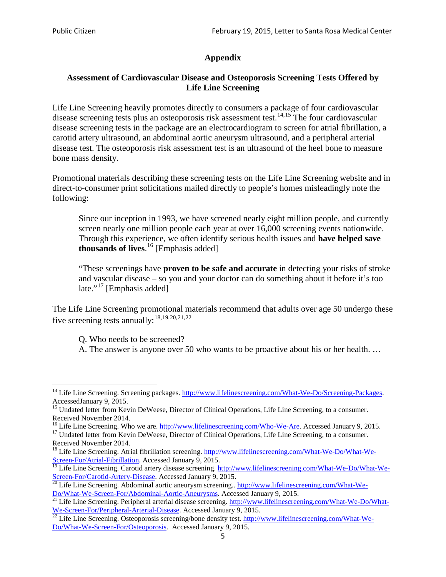# **Appendix**

# **Assessment of Cardiovascular Disease and Osteoporosis Screening Tests Offered by Life Line Screening**

Life Line Screening heavily promotes directly to consumers a package of four cardiovascular disease screening tests plus an osteoporosis risk assessment test.<sup>[14](#page-4-0),[15](#page-4-1)</sup> The four cardiovascular disease screening tests in the package are an electrocardiogram to screen for atrial fibrillation, a carotid artery ultrasound, an abdominal aortic aneurysm ultrasound, and a peripheral arterial disease test. The osteoporosis risk assessment test is an ultrasound of the heel bone to measure bone mass density.

Promotional materials describing these screening tests on the Life Line Screening website and in direct-to-consumer print solicitations mailed directly to people's homes misleadingly note the following:

Since our inception in 1993, we have screened nearly eight million people, and currently screen nearly one million people each year at over 16,000 screening events nationwide. Through this experience, we often identify serious health issues and **have helped save thousands of lives**. [16](#page-4-2) [Emphasis added]

"These screenings have **proven to be safe and accurate** in detecting your risks of stroke and vascular disease – so you and your doctor can do something about it before it's too late."<sup>[17](#page-4-3)</sup> [Emphasis added]

The Life Line Screening promotional materials recommend that adults over age 50 undergo these five screening tests annually:[18](#page-4-4),[19,](#page-4-5)[20,](#page-4-6)[21](#page-4-7),[22](#page-4-8)

Q. Who needs to be screened?

A. The answer is anyone over 50 who wants to be proactive about his or her health. …

<span id="page-4-0"></span><sup>&</sup>lt;sup>14</sup> Life Line Screening. Screening packages. [http://www.lifelinescreening.com/What-We-Do/Screening-Packages.](http://www.lifelinescreening.com/What-We-Do/Screening-Packages) AccessedJanuary 9, 2015.

<span id="page-4-1"></span><sup>&</sup>lt;sup>15</sup> Undated letter from Kevin DeWeese, Director of Clinical Operations, Life Line Screening, to a consumer.

Received November 2014.<br><sup>16</sup> Life Line Screening. Who we are. http://www.lifelinescreening.com/Who-We-Are. Accessed January 9, 2015.

<span id="page-4-3"></span><span id="page-4-2"></span><sup>&</sup>lt;sup>17</sup> Undated letter from Kevin DeWeese, Director of Clinical Operations, Life Line Screening, to a consumer. Received November 2014.

<span id="page-4-4"></span><sup>&</sup>lt;sup>18</sup> Life Line Screening. Atrial fibrillation screening. [http://www.lifelinescreening.com/What-We-Do/What-We-](http://www.lifelinescreening.com/What-We-Do/What-We-Screen-For/Atrial-Fibrillation)[Screen-For/Atrial-Fibrillation.](http://www.lifelinescreening.com/What-We-Do/What-We-Screen-For/Atrial-Fibrillation) Accessed January 9, 2015.

<span id="page-4-5"></span><sup>&</sup>lt;sup>19</sup> Life Line Screening. Carotid artery disease screening. [http://www.lifelinescreening.com/What-We-Do/What-We-](http://www.lifelinescreening.com/What-We-Do/What-We-Screen-For/Carotid-Artery-Disease)

<span id="page-4-6"></span>[Screen-For/Carotid-Artery-Disease.](http://www.lifelinescreening.com/What-We-Do/What-We-Screen-For/Carotid-Artery-Disease) Accessed January 9, 2015.<br><sup>20</sup> Life Line Screening. Abdominal aortic aneurysm screening.. http://www.lifelinescreening.com/What-We-<br>Do/What-We-Screen-For/Abdominal-Aortic-Aneurysms. Acces

<span id="page-4-7"></span> $\frac{1}{21}$  Life Line Screening. Peripheral arterial disease screening. [http://www.lifelinescreening.com/What-We-Do/What-](http://www.lifelinescreening.com/What-We-Do/What-We-Screen-For/Peripheral-Arterial-Disease)

<span id="page-4-8"></span>[We-Screen-For/Peripheral-Arterial-Disease.](http://www.lifelinescreening.com/What-We-Do/What-We-Screen-For/Peripheral-Arterial-Disease) Accessed January 9, 2015.<br><sup>22</sup> Life Line Screening. Osteoporosis screening/bone density test. [http://www.lifelinescreening.com/What-We-](http://www.lifelinescreening.com/What-We-Do/What-We-Screen-For/Osteoporosis)[Do/What-We-Screen-For/Osteoporosis.](http://www.lifelinescreening.com/What-We-Do/What-We-Screen-For/Osteoporosis) Accessed January 9, 2015.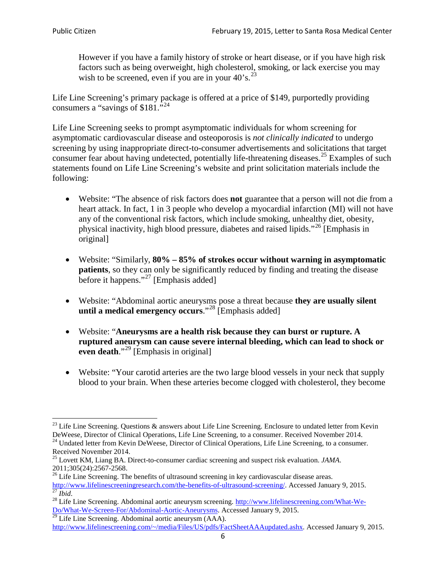However if you have a family history of stroke or heart disease, or if you have high risk factors such as being overweight, high cholesterol, smoking, or lack exercise you may wish to be screened, even if you are in your  $40^\circ$ s.<sup>[23](#page-5-0)</sup>

Life Line Screening's primary package is offered at a price of \$149, purportedly providing consumers a "savings of \$181."<sup>[24](#page-5-1)</sup>

Life Line Screening seeks to prompt asymptomatic individuals for whom screening for asymptomatic cardiovascular disease and osteoporosis is *not clinically indicated* to undergo screening by using inappropriate direct-to-consumer advertisements and solicitations that target consumer fear about having undetected, potentially life-threatening diseases.<sup>[25](#page-5-2)</sup> Examples of such statements found on Life Line Screening's website and print solicitation materials include the following:

- Website: "The absence of risk factors does **not** guarantee that a person will not die from a heart attack. In fact, 1 in 3 people who develop a myocardial infarction (MI) will not have any of the conventional risk factors, which include smoking, unhealthy diet, obesity, physical inactivity, high blood pressure, diabetes and raised lipids."[26](#page-5-3) [Emphasis in original]
- Website: "Similarly, **80% – 85% of strokes occur without warning in asymptomatic patients**, so they can only be significantly reduced by finding and treating the disease before it happens."<sup>[27](#page-5-4)</sup> [Emphasis added]
- Website: "Abdominal aortic aneurysms pose a threat because **they are usually silent until a medical emergency occurs**."[28](#page-5-5) [Emphasis added]
- Website: "**Aneurysms are a health risk because they can burst or rupture. A ruptured aneurysm can cause severe internal bleeding, which can lead to shock or even death.**"<sup>[29](#page-5-6)</sup> [Emphasis in original]
- Website: "Your carotid arteries are the two large blood vessels in your neck that supply blood to your brain. When these arteries become clogged with cholesterol, they become

<span id="page-5-0"></span><sup>&</sup>lt;sup>23</sup> Life Line Screening. Questions  $\&$  answers about Life Line Screening. Enclosure to undated letter from Kevin DeWeese, Director of Clinical Operations, Life Line Screening, to a consumer. Received November 2014.

<span id="page-5-1"></span><sup>&</sup>lt;sup>24</sup> Undated letter from Kevin DeWeese, Director of Clinical Operations, Life Line Screening, to a consumer. Received November 2014.

<span id="page-5-2"></span><sup>25</sup> Lovett KM, Liang BA. Direct-to-consumer cardiac screening and suspect risk evaluation. *JAMA*.  $2011;305(24):2567-2568$ .<br><sup>26</sup> Life Line Screening. The benefits of ultrasound screening in key cardiovascular disease areas.

<span id="page-5-3"></span>[http://www.lifelinescreeningresearch.com/the-benefits-of-ultrasound-screening/.](http://www.lifelinescreeningresearch.com/the-benefits-of-ultrasound-screening/) Accessed January 9, 2015.<br><sup>28</sup> Life Line Screening. Abdominal aortic aneurysm screening. http://www.lifelinescreening.com/What-We-<sup>28</sup>

<span id="page-5-5"></span><span id="page-5-4"></span>[Do/What-We-Screen-For/Abdominal-Aortic-Aneurysms.](http://www.lifelinescreening.com/What-We-Do/What-We-Screen-For/Abdominal-Aortic-Aneurysms) Accessed January 9, 2015. <sup>29</sup> Life Line Screening. Abdominal aortic aneurysm (AAA).

<span id="page-5-6"></span>[http://www.lifelinescreening.com/~/media/Files/US/pdfs/FactSheetAAAupdated.ashx.](http://www.lifelinescreening.com/~/media/Files/US/pdfs/FactSheetAAAupdated.ashx) Accessed January 9, 2015.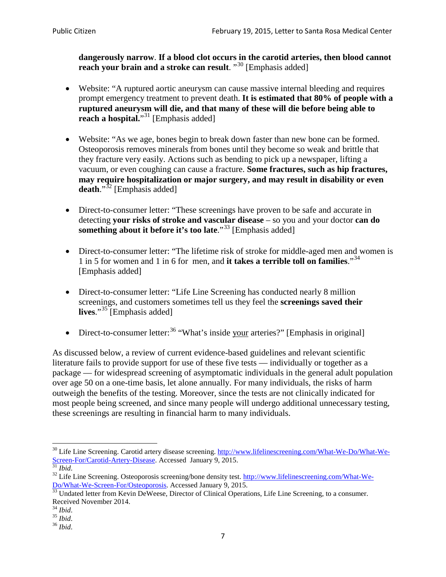**dangerously narrow**. **If a blood clot occurs in the carotid arteries, then blood cannot reach your brain and a stroke can result**. "<sup>[30](#page-6-0)</sup> [Emphasis added]

- Website: "A ruptured aortic aneurysm can cause massive internal bleeding and requires prompt emergency treatment to prevent death. **It is estimated that 80% of people with a ruptured aneurysm will die, and that many of these will die before being able to reach a hospital.**"<sup>[31](#page-6-1)</sup> [Emphasis added]
- Website: "As we age, bones begin to break down faster than new bone can be formed. Osteoporosis removes minerals from bones until they become so weak and brittle that they fracture very easily. Actions such as bending to pick up a newspaper, lifting a vacuum, or even coughing can cause a fracture. **Some fractures, such as hip fractures, may require hospitalization or major surgery, and may result in disability or even**  death."<sup>[32](#page-6-2)</sup> [Emphasis added]
- Direct-to-consumer letter: "These screenings have proven to be safe and accurate in detecting **your risks of stroke and vascular disease** – so you and your doctor **can do something about it before it's too late.**"<sup>[33](#page-6-3)</sup> [Emphasis added]
- Direct-to-consumer letter: "The lifetime risk of stroke for middle-aged men and women is 1 in 5 for women and 1 in 6 for men, and **it takes a terrible toll on families**."[34](#page-6-4) [Emphasis added]
- Direct-to-consumer letter: "Life Line Screening has conducted nearly 8 million screenings, and customers sometimes tell us they feel the **screenings saved their**  lives."<sup>[35](#page-6-5)</sup> [Emphasis added]
- Direct-to-consumer letter:  $36$  "What's inside your arteries?" [Emphasis in original]

As discussed below, a review of current evidence-based guidelines and relevant scientific literature fails to provide support for use of these five tests — individually or together as a package — for widespread screening of asymptomatic individuals in the general adult population over age 50 on a one-time basis, let alone annually. For many individuals, the risks of harm outweigh the benefits of the testing. Moreover, since the tests are not clinically indicated for most people being screened, and since many people will undergo additional unnecessary testing, these screenings are resulting in financial harm to many individuals.

<span id="page-6-0"></span><sup>&</sup>lt;sup>30</sup> Life Line Screening. Carotid artery disease screening. [http://www.lifelinescreening.com/What-We-Do/What-We-](http://www.lifelinescreening.com/What-We-Do/What-We-Screen-For/Carotid-Artery-Disease)[Screen-For/Carotid-Artery-Disease.](http://www.lifelinescreening.com/What-We-Do/What-We-Screen-For/Carotid-Artery-Disease) Accessed January 9, 2015.<br><sup>31</sup> *Ibid.* 32 Life Line Screening. Osteoporosis screening/bone density test. [http://www.lifelinescreening.com/What-We-](http://www.lifelinescreening.com/What-We-Do/What-We-Screen-For/Osteoporosis)

<span id="page-6-2"></span><span id="page-6-1"></span>[Do/What-We-Screen-For/Osteoporosis.](http://www.lifelinescreening.com/What-We-Do/What-We-Screen-For/Osteoporosis) Accessed January 9, 2015. <sup>33</sup> Undated letter from Kevin DeWeese, Director of Clinical Operations, Life Line Screening, to a consumer.

<span id="page-6-3"></span>Received November 2014.<br><sup>34</sup> Ibid.

<span id="page-6-4"></span>

<span id="page-6-5"></span><sup>34</sup> *Ibid*. 35 *Ibid*. 36 *Ibid*.

<span id="page-6-6"></span>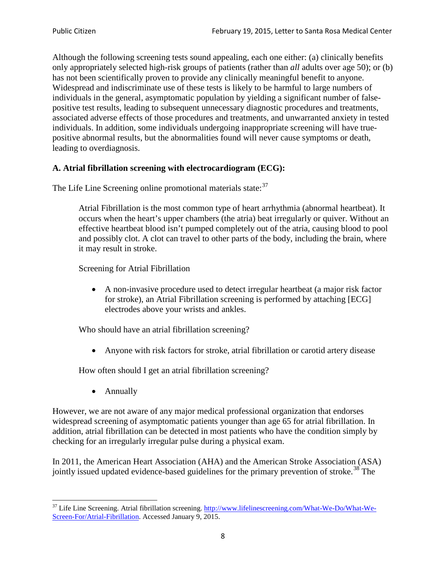Although the following screening tests sound appealing, each one either: (a) clinically benefits only appropriately selected high-risk groups of patients (rather than *all* adults over age 50); or (b) has not been scientifically proven to provide any clinically meaningful benefit to anyone. Widespread and indiscriminate use of these tests is likely to be harmful to large numbers of individuals in the general, asymptomatic population by yielding a significant number of falsepositive test results, leading to subsequent unnecessary diagnostic procedures and treatments, associated adverse effects of those procedures and treatments, and unwarranted anxiety in tested individuals. In addition, some individuals undergoing inappropriate screening will have truepositive abnormal results, but the abnormalities found will never cause symptoms or death, leading to overdiagnosis.

# **A. Atrial fibrillation screening with electrocardiogram (ECG):**

The Life Line Screening online promotional materials state:<sup>[37](#page-7-0)</sup>

Atrial Fibrillation is the most common type of heart arrhythmia (abnormal heartbeat). It occurs when the heart's upper chambers (the atria) beat irregularly or quiver. Without an effective heartbeat blood isn't pumped completely out of the atria, causing blood to pool and possibly clot. A clot can travel to other parts of the body, including the brain, where it may result in stroke.

Screening for Atrial Fibrillation

• A non-invasive procedure used to detect irregular heartbeat (a major risk factor for stroke), an Atrial Fibrillation screening is performed by attaching [ECG] electrodes above your wrists and ankles.

Who should have an atrial fibrillation screening?

• Anyone with risk factors for stroke, atrial fibrillation or carotid artery disease

How often should I get an atrial fibrillation screening?

• Annually

<span id="page-7-1"></span>However, we are not aware of any major medical professional organization that endorses widespread screening of asymptomatic patients younger than age 65 for atrial fibrillation. In addition, atrial fibrillation can be detected in most patients who have the condition simply by checking for an irregularly irregular pulse during a physical exam.

In 2011, the American Heart Association (AHA) and the American Stroke Association (ASA) jointly issued updated evidence-based guidelines for the primary prevention of stroke.<sup>[38](#page-7-1)</sup> The

<span id="page-7-0"></span><sup>&</sup>lt;sup>37</sup> Life Line Screening. Atrial fibrillation screening. [http://www.lifelinescreening.com/What-We-Do/What-We-](http://www.lifelinescreening.com/What-We-Do/What-We-Screen-For/Atrial-Fibrillation)[Screen-For/Atrial-Fibrillation.](http://www.lifelinescreening.com/What-We-Do/What-We-Screen-For/Atrial-Fibrillation) Accessed January 9, 2015.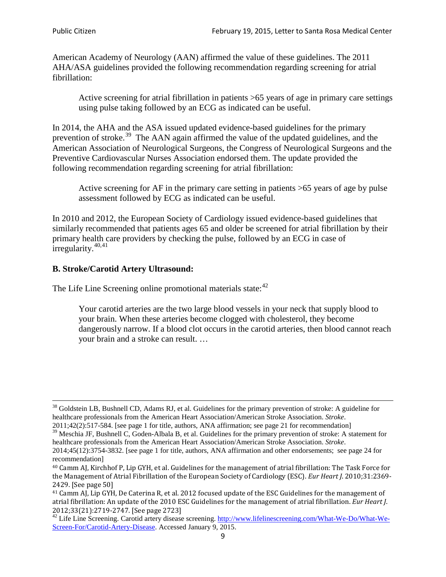American Academy of Neurology (AAN) affirmed the value of these guidelines. The 2011 AHA/ASA guidelines provided the following recommendation regarding screening for atrial fibrillation:

Active screening for atrial fibrillation in patients >65 years of age in primary care settings using pulse taking followed by an ECG as indicated can be useful.

In 2014, the AHA and the ASA issued updated evidence-based guidelines for the primary prevention of stroke.<sup>[39](#page-8-0)</sup> The AAN again affirmed the value of the updated guidelines, and the American Association of Neurological Surgeons, the Congress of Neurological Surgeons and the Preventive Cardiovascular Nurses Association endorsed them. The update provided the following recommendation regarding screening for atrial fibrillation:

Active screening for AF in the primary care setting in patients >65 years of age by pulse assessment followed by ECG as indicated can be useful.

In 2010 and 2012, the European Society of Cardiology issued evidence-based guidelines that similarly recommended that patients ages 65 and older be screened for atrial fibrillation by their primary health care providers by checking the pulse, followed by an ECG in case of irregularity. $40,41$  $40,41$ 

# **B. Stroke/Carotid Artery Ultrasound:**

The Life Line Screening online promotional materials state:<sup>[42](#page-8-3)</sup>

Your carotid arteries are the two large blood vessels in your neck that supply blood to your brain. When these arteries become clogged with cholesterol, they become dangerously narrow. If a blood clot occurs in the carotid arteries, then blood cannot reach your brain and a stroke can result. …

<sup>&</sup>lt;sup>38</sup> Goldstein LB, Bushnell CD, Adams RJ, et al. Guidelines for the primary prevention of stroke: A guideline for healthcare professionals from the American Heart Association/American Stroke Association. *Stroke*.

<sup>2011;42(2):517-584.</sup> [see page 1 for title, authors, ANA affirmation; see page 21 for recommendation]

<span id="page-8-0"></span> $\frac{2011,42(2)(317,601)}{39}$  Meschia JF, Bushnell C, Goden-Albala B, et al. Guidelines for the primary prevention of stroke: A statement for healthcare professionals from the American Heart Association/American Stroke Association. *Stroke*.

<sup>2014;45(12):3754-3832.</sup> [see page 1 for title, authors, ANA affirmation and other endorsements; see page 24 for recommendation]

<span id="page-8-1"></span><sup>40</sup> Camm AJ, Kirchhof P, Lip GYH, et al. Guidelines for the management of atrial fibrillation: The Task Force for the Management of Atrial Fibrillation of the European Society of Cardiology (ESC). *Eur Heart J*. 2010;31:2369- 2429. [See page 50]

<span id="page-8-2"></span><sup>41</sup> Camm AJ, Lip GYH, De Caterina R, et al. 2012 focused update of the ESC Guidelines for the management of atrial fibrillation: An update of the 2010 ESC Guidelines for the management of atrial fibrillation. *Eur Heart J*.

<span id="page-8-3"></span><sup>2012;33(21):2719-2747. [</sup>See page 2723]<br><sup>42</sup> Life Line Screening. Carotid artery disease screening. [http://www.lifelinescreening.com/What-We-Do/What-We-](http://www.lifelinescreening.com/What-We-Do/What-We-Screen-For/Carotid-Artery-Disease)[Screen-For/Carotid-Artery-Disease.](http://www.lifelinescreening.com/What-We-Do/What-We-Screen-For/Carotid-Artery-Disease) Accessed January 9, 2015.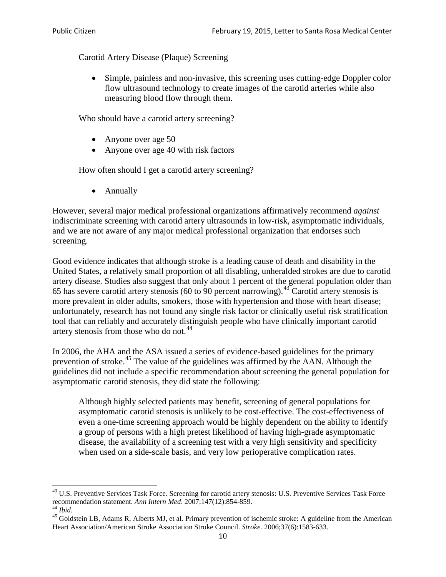Carotid Artery Disease (Plaque) Screening

• Simple, painless and non-invasive, this screening uses cutting-edge Doppler color flow ultrasound technology to create images of the carotid arteries while also measuring blood flow through them.

Who should have a carotid artery screening?

- Anyone over age 50
- Anyone over age 40 with risk factors

How often should I get a carotid artery screening?

• Annually

However, several major medical professional organizations affirmatively recommend *against* indiscriminate screening with carotid artery ultrasounds in low-risk, asymptomatic individuals, and we are not aware of any major medical professional organization that endorses such screening.

Good evidence indicates that although stroke is a leading cause of death and disability in the United States, a relatively small proportion of all disabling, unheralded strokes are due to carotid artery disease. Studies also suggest that only about 1 percent of the general population older than 65 has severe carotid artery stenosis (60 to 90 percent narrowing).<sup>[43](#page-9-0)</sup> Carotid artery stenosis is more prevalent in older adults, smokers, those with hypertension and those with heart disease; unfortunately, research has not found any single risk factor or clinically useful risk stratification tool that can reliably and accurately distinguish people who have clinically important carotid artery stenosis from those who do not.<sup>[44](#page-9-1)</sup>

In 2006, the AHA and the ASA issued a series of evidence-based guidelines for the primary prevention of stroke.[45](#page-9-2) The value of the guidelines was affirmed by the AAN. Although the guidelines did not include a specific recommendation about screening the general population for asymptomatic carotid stenosis, they did state the following:

Although highly selected patients may benefit, screening of general populations for asymptomatic carotid stenosis is unlikely to be cost-effective. The cost-effectiveness of even a one-time screening approach would be highly dependent on the ability to identify a group of persons with a high pretest likelihood of having high-grade asymptomatic disease, the availability of a screening test with a very high sensitivity and specificity when used on a side-scale basis, and very low perioperative complication rates.

<span id="page-9-0"></span> $^{43}$  U.S. Preventive Services Task Force. Screening for carotid artery stenosis: U.S. Preventive Services Task Force recommendation statement. Ann Intern Med. 2007;147(12):854-859.

<span id="page-9-2"></span><span id="page-9-1"></span><sup>&</sup>lt;sup>44</sup> *Ibid*. <sup>45</sup> Goldstein LB, Adams R, Alberts MJ, et al. Primary prevention of ischemic stroke: A guideline from the American <sup>45</sup> Goldstein LB, Adams R, Alberts MJ, et al. Primary prevention of ischemic stroke: A guide Heart Association/American Stroke Association Stroke Council. *Stroke*. 2006;37(6):1583-633.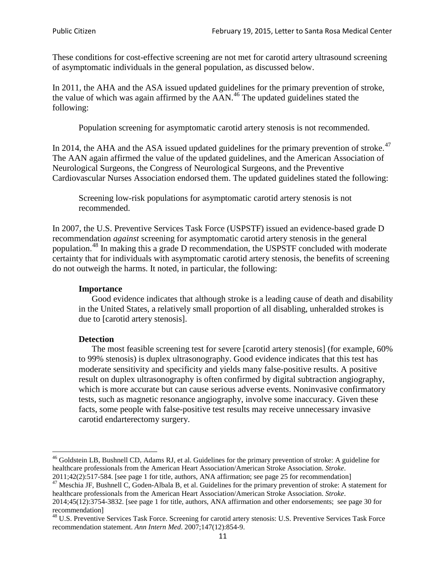These conditions for cost-effective screening are not met for carotid artery ultrasound screening of asymptomatic individuals in the general population, as discussed below.

In 2011, the AHA and the ASA issued updated guidelines for the primary prevention of stroke, the value of which was again affirmed by the  $AAN<sup>46</sup>$  $AAN<sup>46</sup>$  $AAN<sup>46</sup>$ . The updated guidelines stated the following:

Population screening for asymptomatic carotid artery stenosis is not recommended.

In 2014, the AHA and the ASA issued updated guidelines for the primary prevention of stroke. $47$ The AAN again affirmed the value of the updated guidelines, and the American Association of Neurological Surgeons, the Congress of Neurological Surgeons, and the Preventive Cardiovascular Nurses Association endorsed them. The updated guidelines stated the following:

Screening low-risk populations for asymptomatic carotid artery stenosis is not recommended.

In 2007, the U.S. Preventive Services Task Force (USPSTF) issued an evidence-based grade D recommendation *against* screening for asymptomatic carotid artery stenosis in the general population.<sup>[48](#page-10-2)</sup> In making this a grade D recommendation, the USPSTF concluded with moderate certainty that for individuals with asymptomatic carotid artery stenosis, the benefits of screening do not outweigh the harms. It noted, in particular, the following:

#### **Importance**

Good evidence indicates that although stroke is a leading cause of death and disability in the United States, a relatively small proportion of all disabling, unheralded strokes is due to [carotid artery stenosis].

#### **Detection**

The most feasible screening test for severe [carotid artery stenosis] (for example, 60% to 99% stenosis) is duplex ultrasonography. Good evidence indicates that this test has moderate sensitivity and specificity and yields many false-positive results. A positive result on duplex ultrasonography is often confirmed by digital subtraction angiography, which is more accurate but can cause serious adverse events. Noninvasive confirmatory tests, such as magnetic resonance angiography, involve some inaccuracy. Given these facts, some people with false-positive test results may receive unnecessary invasive carotid endarterectomy surgery.

<span id="page-10-0"></span><sup>&</sup>lt;sup>46</sup> Goldstein LB, Bushnell CD, Adams RJ, et al. Guidelines for the primary prevention of stroke: A guideline for healthcare professionals from the American Heart Association/American Stroke Association. *Stroke*.<br>2011;42(2):517-584. [see page 1 for title, authors, ANA affirmation; see page 25 for recommendation]

<span id="page-10-1"></span><sup>&</sup>lt;sup>47</sup> Meschia JF, Bushnell C, Goden-Albala B, et al. Guidelines for the primary prevention of stroke: A statement for healthcare professionals from the American Heart Association/American Stroke Association. *Stroke*. 2014;45(12):3754-3832. [see page 1 for title, authors, ANA affirmation and other endorsements; see page 30 for

recommendation] <sup>48</sup> U.S. Preventive Services Task Force. Screening for carotid artery stenosis: U.S. Preventive Services Task Force

<span id="page-10-2"></span>recommendation statement. *Ann Intern Med*. 2007;147(12):854-9.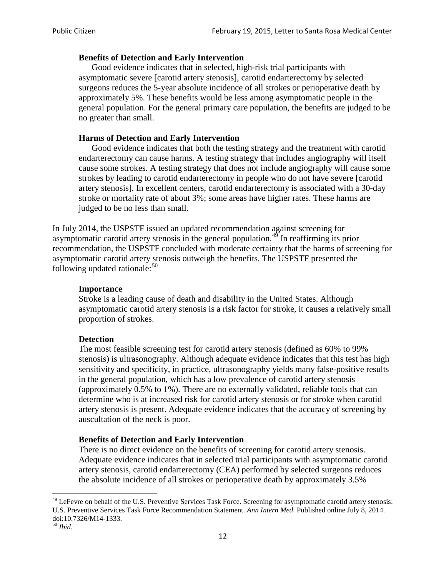### **Benefits of Detection and Early Intervention**

Good evidence indicates that in selected, high-risk trial participants with asymptomatic severe [carotid artery stenosis], carotid endarterectomy by selected surgeons reduces the 5-year absolute incidence of all strokes or perioperative death by approximately 5%. These benefits would be less among asymptomatic people in the general population. For the general primary care population, the benefits are judged to be no greater than small.

### **Harms of Detection and Early Intervention**

Good evidence indicates that both the testing strategy and the treatment with carotid endarterectomy can cause harms. A testing strategy that includes angiography will itself cause some strokes. A testing strategy that does not include angiography will cause some strokes by leading to carotid endarterectomy in people who do not have severe [carotid artery stenosis]. In excellent centers, carotid endarterectomy is associated with a 30-day stroke or mortality rate of about 3%; some areas have higher rates. These harms are judged to be no less than small.

In July 2014, the USPSTF issued an updated recommendation against screening for asymptomatic carotid artery stenosis in the general population.<sup>[49](#page-11-0)</sup> In reaffirming its prior recommendation, the USPSTF concluded with moderate certainty that the harms of screening for asymptomatic carotid artery stenosis outweigh the benefits. The USPSTF presented the following updated rationale: $50$ 

#### **Importance**

Stroke is a leading cause of death and disability in the United States. Although asymptomatic carotid artery stenosis is a risk factor for stroke, it causes a relatively small proportion of strokes.

#### **Detection**

The most feasible screening test for carotid artery stenosis (defined as 60% to 99% stenosis) is ultrasonography. Although adequate evidence indicates that this test has high sensitivity and specificity, in practice, ultrasonography yields many false-positive results in the general population, which has a low prevalence of carotid artery stenosis (approximately 0.5% to 1%). There are no externally validated, reliable tools that can determine who is at increased risk for carotid artery stenosis or for stroke when carotid artery stenosis is present. Adequate evidence indicates that the accuracy of screening by auscultation of the neck is poor.

## **Benefits of Detection and Early Intervention**

There is no direct evidence on the benefits of screening for carotid artery stenosis. Adequate evidence indicates that in selected trial participants with asymptomatic carotid artery stenosis, carotid endarterectomy (CEA) performed by selected surgeons reduces the absolute incidence of all strokes or perioperative death by approximately 3.5%

<span id="page-11-0"></span><sup>&</sup>lt;sup>49</sup> LeFevre on behalf of the U.S. Preventive Services Task Force. Screening for asymptomatic carotid artery stenosis: U.S. Preventive Services Task Force Recommendation Statement. *Ann Intern Med*. Published online July 8, 2014. doi:10.7326/M14-1333. <sup>50</sup> *Ibid*.

<span id="page-11-1"></span>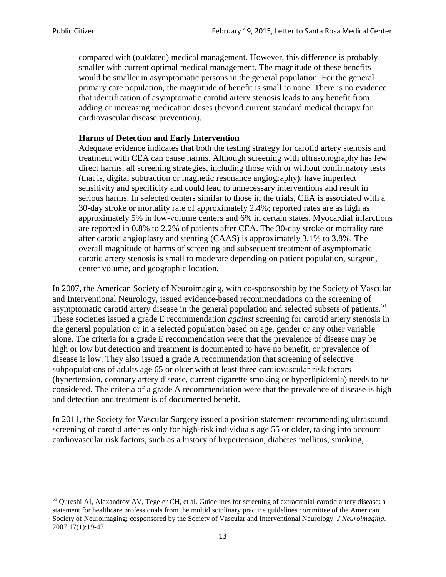compared with (outdated) medical management. However, this difference is probably smaller with current optimal medical management. The magnitude of these benefits would be smaller in asymptomatic persons in the general population. For the general primary care population, the magnitude of benefit is small to none. There is no evidence that identification of asymptomatic carotid artery stenosis leads to any benefit from adding or increasing medication doses (beyond current standard medical therapy for cardiovascular disease prevention).

### **Harms of Detection and Early Intervention**

Adequate evidence indicates that both the testing strategy for carotid artery stenosis and treatment with CEA can cause harms. Although screening with ultrasonography has few direct harms, all screening strategies, including those with or without confirmatory tests (that is, digital subtraction or magnetic resonance angiography), have imperfect sensitivity and specificity and could lead to unnecessary interventions and result in serious harms. In selected centers similar to those in the trials, CEA is associated with a 30-day stroke or mortality rate of approximately 2.4%; reported rates are as high as approximately 5% in low-volume centers and 6% in certain states. Myocardial infarctions are reported in 0.8% to 2.2% of patients after CEA. The 30-day stroke or mortality rate after carotid angioplasty and stenting (CAAS) is approximately 3.1% to 3.8%. The overall magnitude of harms of screening and subsequent treatment of asymptomatic carotid artery stenosis is small to moderate depending on patient population, surgeon, center volume, and geographic location.

In 2007, the American Society of Neuroimaging, with co-sponsorship by the Society of Vascular and Interventional Neurology, issued evidence-based recommendations on the screening of asymptomatic carotid artery disease in the general population and selected subsets of patients.<sup>[51](#page-12-0)</sup> These societies issued a grade E recommendation *against* screening for carotid artery stenosis in the general population or in a selected population based on age, gender or any other variable alone. The criteria for a grade E recommendation were that the prevalence of disease may be high or low but detection and treatment is documented to have no benefit, or prevalence of disease is low. They also issued a grade A recommendation that screening of selective subpopulations of adults age 65 or older with at least three cardiovascular risk factors (hypertension, coronary artery disease, current cigarette smoking or hyperlipidemia) needs to be considered. The criteria of a grade A recommendation were that the prevalence of disease is high and detection and treatment is of documented benefit.

In 2011, the Society for Vascular Surgery issued a position statement recommending ultrasound screening of carotid arteries only for high-risk individuals age 55 or older, taking into account cardiovascular risk factors, such as a history of hypertension, diabetes mellitus, smoking,

<span id="page-12-0"></span><sup>&</sup>lt;sup>51</sup> Qureshi AI, Alexandrov AV, Tegeler CH, et al. Guidelines for screening of extracranial carotid artery disease: a statement for healthcare professionals from the multidisciplinary practice guidelines committee of the American Society of Neuroimaging; cosponsored by the Society of Vascular and Interventional Neurology. *J Neuroimaging*. 2007;17(1):19-47.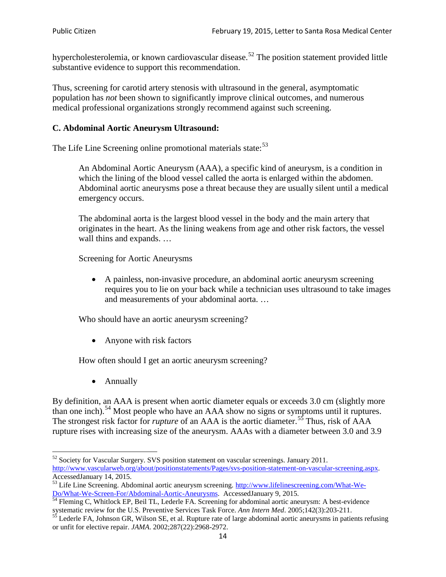hypercholesterolemia, or known cardiovascular disease.<sup>[52](#page-13-0)</sup> The position statement provided little substantive evidence to support this recommendation.

Thus, screening for carotid artery stenosis with ultrasound in the general, asymptomatic population has *not* been shown to significantly improve clinical outcomes, and numerous medical professional organizations strongly recommend against such screening.

## **C. Abdominal Aortic Aneurysm Ultrasound:**

The Life Line Screening online promotional materials state:<sup>[53](#page-13-1)</sup>

An Abdominal Aortic Aneurysm (AAA), a specific kind of aneurysm, is a condition in which the lining of the blood vessel called the aorta is enlarged within the abdomen. Abdominal aortic aneurysms pose a threat because they are usually silent until a medical emergency occurs.

The abdominal aorta is the largest blood vessel in the body and the main artery that originates in the heart. As the lining weakens from age and other risk factors, the vessel wall thins and expands. …

Screening for Aortic Aneurysms

• A painless, non-invasive procedure, an abdominal aortic aneurysm screening requires you to lie on your back while a technician uses ultrasound to take images and measurements of your abdominal aorta. …

Who should have an aortic aneurysm screening?

• Anyone with risk factors

How often should I get an aortic aneurysm screening?

• Annually

By definition, an AAA is present when aortic diameter equals or exceeds 3.0 cm (slightly more than one inch).<sup>[54](#page-13-2)</sup> Most people who have an AAA show no signs or symptoms until it ruptures. The strongest risk factor for *rupture* of an AAA is the aortic diameter.<sup>[55](#page-13-3)</sup> Thus, risk of AAA rupture rises with increasing size of the aneurysm. AAAs with a diameter between 3.0 and 3.9

<span id="page-13-0"></span><sup>&</sup>lt;sup>52</sup> Society for Vascular Surgery. SVS position statement on vascular screenings. January 2011. http://www.vascularweb.org/about/positionstatements/Pages/svs-position-statement-on-vascular-screening.aspx.<br>Accessed January 14, 2015.

<span id="page-13-1"></span>Accessed January 14, 2015.<br>
Sa Life Line Screening. Abdominal aortic aneurysm screening. http://www.lifelinescreening.com/What-We-<br>
Do/What-We-Screen-For/Abdominal-Aortic-Aneurysms. Accessed January 9, 2015.

<span id="page-13-2"></span> $\frac{54}{9}$  Fleming C, Whitlock EP, Beil TL, Lederle FA. Screening for abdominal aortic aneurysm: A best-evidence systematic review for the U.S. Preventive Services Task Force. *Ann Intern Med.* 2005;142(3):203-211.<br><sup>55</sup> Lederle FA, Johnson GR, Wilson SE, et al. Rupture rate of large abdominal aortic aneurysms in patients refusing

<span id="page-13-3"></span>or unfit for elective repair. *JAMA*. 2002;287(22):2968-2972.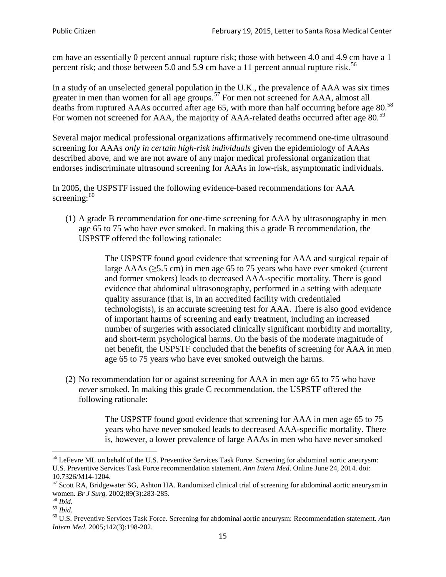cm have an essentially 0 percent annual rupture risk; those with between 4.0 and 4.9 cm have a 1 percent risk; and those between 5.0 and 5.9 cm have a 11 percent annual rupture risk.<sup>[56](#page-14-0)</sup>

In a study of an unselected general population in the U.K., the prevalence of AAA was six times greater in men than women for all age groups.<sup>[57](#page-14-1)</sup> For men not screened for  $AAA$ , almost all deaths from ruptured AAAs occurred after age 65, with more than half occurring before age 80.<sup>[58](#page-14-2)</sup> For women not screened for AAA, the majority of AAA-related deaths occurred after age 80.<sup>[59](#page-14-3)</sup>

Several major medical professional organizations affirmatively recommend one-time ultrasound screening for AAAs *only in certain high-risk individuals* given the epidemiology of AAAs described above, and we are not aware of any major medical professional organization that endorses indiscriminate ultrasound screening for AAAs in low-risk, asymptomatic individuals.

In 2005, the USPSTF issued the following evidence-based recommendations for AAA screening: $60$ 

(1) A grade B recommendation for one-time screening for AAA by ultrasonography in men age 65 to 75 who have ever smoked. In making this a grade [B recommendation,](http://www.uspreventiveservicestaskforce.org/uspstf/gradespre.htm#brec) the USPSTF offered the following rationale:

> The USPSTF found good evidence that screening for AAA and surgical repair of large AAAs ( $\geq$ 5.5 cm) in men age 65 to 75 years who have ever smoked (current and former smokers) leads to decreased AAA-specific mortality. There is good evidence that abdominal ultrasonography, performed in a setting with adequate quality assurance (that is, in an accredited facility with credentialed technologists), is an accurate screening test for AAA. There is also good evidence of important harms of screening and early treatment, including an increased number of surgeries with associated clinically significant morbidity and mortality, and short-term psychological harms. On the basis of the moderate magnitude of net benefit, the USPSTF concluded that the benefits of screening for AAA in men age 65 to 75 years who have ever smoked outweigh the harms.

(2) No recommendation for or against screening for AAA in men age 65 to 75 who have *never* smoked. In making this grade C recommendation, the USPSTF offered the following rationale:

> The USPSTF found good evidence that screening for AAA in men age 65 to 75 years who have never smoked leads to decreased AAA-specific mortality. There is, however, a lower prevalence of large AAAs in men who have never smoked

<span id="page-14-0"></span><sup>&</sup>lt;sup>56</sup> LeFevre ML on behalf of the U.S. Preventive Services Task Force. Screening for abdominal aortic aneurysm: U.S. Preventive Services Task Force recommendation statement. *Ann Intern Med*. Online June 24, 2014. doi:

<span id="page-14-1"></span><sup>10.7326/</sup>M14-1204.<br> $57$  Scott RA, Bridgewater SG, Ashton HA. Randomized clinical trial of screening for abdominal aortic aneurysm in women. *Br J Surg.* 2002;89(3):283-285.

<span id="page-14-4"></span><span id="page-14-3"></span>

<span id="page-14-2"></span><sup>&</sup>lt;sup>58</sup> *Ibid.*<br><sup>59</sup> *Ibid.* 2002;<br><sup>60</sup> U.S. Preventive Services Task Force. Screening for abdominal aortic aneurysm: Recommendation statement. *Ann Intern Med*. 2005;142(3):198-202.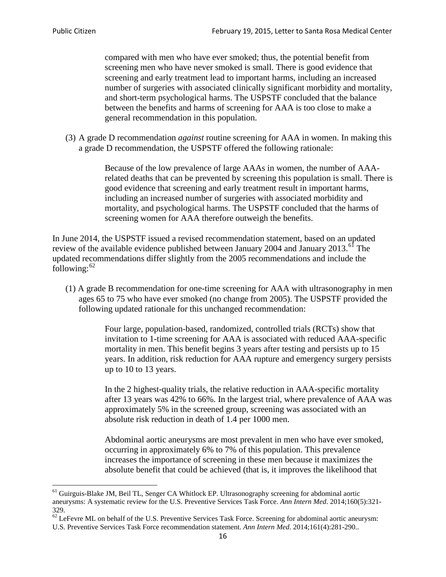compared with men who have ever smoked; thus, the potential benefit from screening men who have never smoked is small. There is good evidence that screening and early treatment lead to important harms, including an increased number of surgeries with associated clinically significant morbidity and mortality, and short-term psychological harms. The USPSTF concluded that the balance between the benefits and harms of screening for AAA is too close to make a general recommendation in this population.

(3) A grade D recommendation *against* routine screening for AAA in women. In making this a grade D recommendation, the USPSTF offered the following rationale:

> Because of the low prevalence of large AAAs in women, the number of AAArelated deaths that can be prevented by screening this population is small. There is good evidence that screening and early treatment result in important harms, including an increased number of surgeries with associated morbidity and mortality, and psychological harms. The USPSTF concluded that the harms of screening women for AAA therefore outweigh the benefits.

In June 2014, the USPSTF issued a revised recommendation statement, based on an updated review of the available evidence published between January 2004 and January 2013.<sup>[61](#page-15-0)</sup> The updated recommendations differ slightly from the 2005 recommendations and include the following: $62$ 

(1) A grade B recommendation for one-time screening for AAA with ultrasonography in men ages 65 to 75 who have ever smoked (no change from 2005). The USPSTF provided the following updated rationale for this unchanged recommendation:

> Four large, population-based, randomized, controlled trials (RCTs) show that invitation to 1-time screening for AAA is associated with reduced AAA-specific mortality in men. This benefit begins 3 years after testing and persists up to 15 years. In addition, risk reduction for AAA rupture and emergency surgery persists up to 10 to 13 years.

> In the 2 highest-quality trials, the relative reduction in AAA-specific mortality after 13 years was 42% to 66%. In the largest trial, where prevalence of AAA was approximately 5% in the screened group, screening was associated with an absolute risk reduction in death of 1.4 per 1000 men.

Abdominal aortic aneurysms are most prevalent in men who have ever smoked, occurring in approximately 6% to 7% of this population. This prevalence increases the importance of screening in these men because it maximizes the absolute benefit that could be achieved (that is, it improves the likelihood that

<span id="page-15-0"></span><sup>61</sup> Guirguis-Blake JM, Beil TL, Senger CA Whitlock EP. Ultrasonography screening for abdominal aortic aneurysms: A systematic review for the U.S. Preventive Services Task Force. *Ann Intern Med*. 2014;160(5):321- 329.

<span id="page-15-1"></span> $62$  LeFevre ML on behalf of the U.S. Preventive Services Task Force. Screening for abdominal aortic aneurysm: U.S. Preventive Services Task Force recommendation statement. *Ann Intern Med*. 2014;161(4):281-290..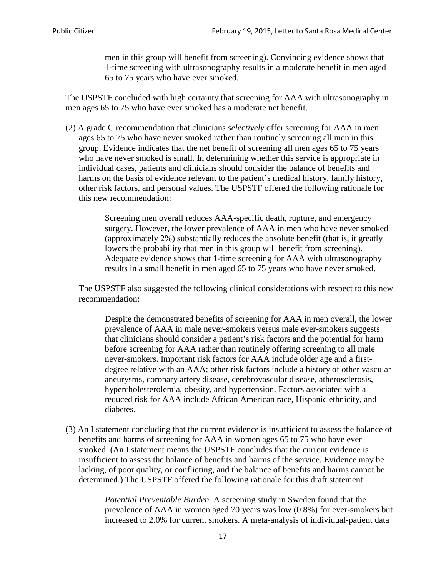men in this group will benefit from screening). Convincing evidence shows that 1-time screening with ultrasonography results in a moderate benefit in men aged 65 to 75 years who have ever smoked.

The USPSTF concluded with high certainty that screening for AAA with ultrasonography in men ages 65 to 75 who have ever smoked has a moderate net benefit.

(2) A grade C recommendation that clinicians *selectively* offer screening for AAA in men ages 65 to 75 who have never smoked rather than routinely screening all men in this group. Evidence indicates that the net benefit of screening all men ages 65 to 75 years who have never smoked is small. In determining whether this service is appropriate in individual cases, patients and clinicians should consider the balance of benefits and harms on the basis of evidence relevant to the patient's medical history, family history, other risk factors, and personal values. The USPSTF offered the following rationale for this new recommendation:

> Screening men overall reduces AAA-specific death, rupture, and emergency surgery. However, the lower prevalence of AAA in men who have never smoked (approximately 2%) substantially reduces the absolute benefit (that is, it greatly lowers the probability that men in this group will benefit from screening). Adequate evidence shows that 1-time screening for AAA with ultrasonography results in a small benefit in men aged 65 to 75 years who have never smoked.

The USPSTF also suggested the following clinical considerations with respect to this new recommendation:

Despite the demonstrated benefits of screening for AAA in men overall, the lower prevalence of AAA in male never-smokers versus male ever-smokers suggests that clinicians should consider a patient's risk factors and the potential for harm before screening for AAA rather than routinely offering screening to all male never-smokers. Important risk factors for AAA include older age and a firstdegree relative with an AAA; other risk factors include a history of other vascular aneurysms, coronary artery disease, cerebrovascular disease, atherosclerosis, hypercholesterolemia, obesity, and hypertension. Factors associated with a reduced risk for AAA include African American race, Hispanic ethnicity, and diabetes.

(3) An I statement concluding that the current evidence is insufficient to assess the balance of benefits and harms of screening for AAA in women ages 65 to 75 who have ever smoked. (An I statement means the USPSTF concludes that the current evidence is insufficient to assess the balance of benefits and harms of the service. Evidence may be lacking, of poor quality, or conflicting, and the balance of benefits and harms cannot be determined.) The USPSTF offered the following rationale for this draft statement:

> *Potential Preventable Burden.* A screening study in Sweden found that the prevalence of AAA in women aged 70 years was low (0.8%) for ever-smokers but increased to 2.0% for current smokers. A meta-analysis of individual-patient data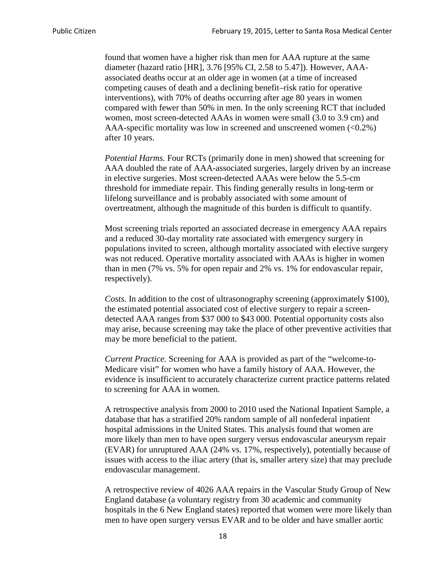found that women have a higher risk than men for AAA rupture at the same diameter (hazard ratio [HR], 3.76 [95% CI, 2.58 to 5.47]). However, AAAassociated deaths occur at an older age in women (at a time of increased competing causes of death and a declining benefit–risk ratio for operative interventions), with 70% of deaths occurring after age 80 years in women compared with fewer than 50% in men. In the only screening RCT that included women, most screen-detected AAAs in women were small (3.0 to 3.9 cm) and AAA-specific mortality was low in screened and unscreened women  $(<0.2\%)$ after 10 years.

*Potential Harms.* Four RCTs (primarily done in men) showed that screening for AAA doubled the rate of AAA-associated surgeries, largely driven by an increase in elective surgeries. Most screen-detected AAAs were below the 5.5-cm threshold for immediate repair. This finding generally results in long-term or lifelong surveillance and is probably associated with some amount of overtreatment, although the magnitude of this burden is difficult to quantify.

Most screening trials reported an associated decrease in emergency AAA repairs and a reduced 30-day mortality rate associated with emergency surgery in populations invited to screen, although mortality associated with elective surgery was not reduced. Operative mortality associated with AAAs is higher in women than in men (7% vs. 5% for open repair and 2% vs. 1% for endovascular repair, respectively).

*Costs.* In addition to the cost of ultrasonography screening (approximately \$100), the estimated potential associated cost of elective surgery to repair a screendetected AAA ranges from \$37 000 to \$43 000. Potential opportunity costs also may arise, because screening may take the place of other preventive activities that may be more beneficial to the patient.

*Current Practice.* Screening for AAA is provided as part of the "welcome-to-Medicare visit" for women who have a family history of AAA. However, the evidence is insufficient to accurately characterize current practice patterns related to screening for AAA in women.

A retrospective analysis from 2000 to 2010 used the National Inpatient Sample, a database that has a stratified 20% random sample of all nonfederal inpatient hospital admissions in the United States. This analysis found that women are more likely than men to have open surgery versus endovascular aneurysm repair (EVAR) for unruptured AAA (24% vs. 17%, respectively), potentially because of issues with access to the iliac artery (that is, smaller artery size) that may preclude endovascular management.

A retrospective review of 4026 AAA repairs in the Vascular Study Group of New England database (a voluntary registry from 30 academic and community hospitals in the 6 New England states) reported that women were more likely than men to have open surgery versus EVAR and to be older and have smaller aortic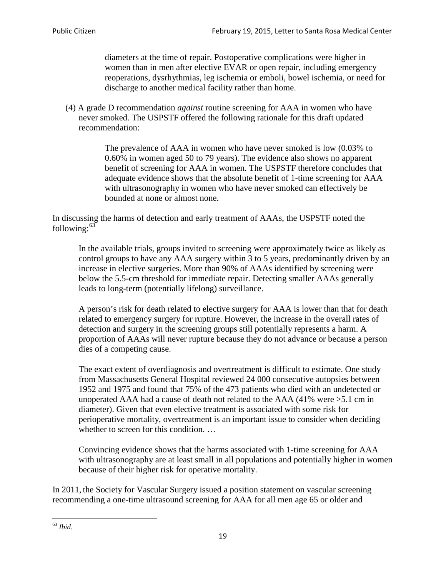diameters at the time of repair. Postoperative complications were higher in women than in men after elective EVAR or open repair, including emergency reoperations, dysrhythmias, leg ischemia or emboli, bowel ischemia, or need for discharge to another medical facility rather than home.

(4) A grade D recommendation *against* routine screening for AAA in women who have never smoked. The USPSTF offered the following rationale for this draft updated recommendation:

> The prevalence of AAA in women who have never smoked is low (0.03% to 0.60% in women aged 50 to 79 years). The evidence also shows no apparent benefit of screening for AAA in women. The USPSTF therefore concludes that adequate evidence shows that the absolute benefit of 1-time screening for AAA with ultrasonography in women who have never smoked can effectively be bounded at none or almost none.

In discussing the harms of detection and early treatment of AAAs, the USPSTF noted the following: $63$ 

In the available trials, groups invited to screening were approximately twice as likely as control groups to have any AAA surgery within 3 to 5 years, predominantly driven by an increase in elective surgeries. More than 90% of AAAs identified by screening were below the 5.5-cm threshold for immediate repair. Detecting smaller AAAs generally leads to long-term (potentially lifelong) surveillance.

A person's risk for death related to elective surgery for AAA is lower than that for death related to emergency surgery for rupture. However, the increase in the overall rates of detection and surgery in the screening groups still potentially represents a harm. A proportion of AAAs will never rupture because they do not advance or because a person dies of a competing cause.

The exact extent of overdiagnosis and overtreatment is difficult to estimate. One study from Massachusetts General Hospital reviewed 24 000 consecutive autopsies between 1952 and 1975 and found that 75% of the 473 patients who died with an undetected or unoperated AAA had a cause of death not related to the AAA (41% were >5.1 cm in diameter). Given that even elective treatment is associated with some risk for perioperative mortality, overtreatment is an important issue to consider when deciding whether to screen for this condition....

Convincing evidence shows that the harms associated with 1-time screening for AAA with ultrasonography are at least small in all populations and potentially higher in women because of their higher risk for operative mortality.

In 2011, the Society for Vascular Surgery issued a position statement on vascular screening recommending a one-time ultrasound screening for AAA for all men age 65 or older and

<span id="page-18-0"></span><sup>63</sup> *Ibid*.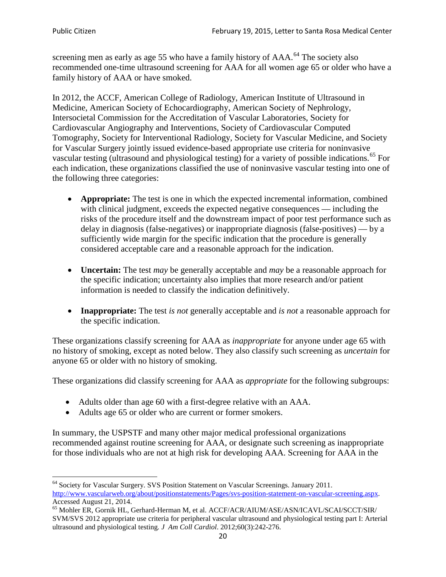screening men as early as age 55 who have a family history of AAA.<sup>[64](#page-19-0)</sup> The society also recommended one-time ultrasound screening for AAA for all women age 65 or older who have a family history of AAA or have smoked.

In 2012, the ACCF, American College of Radiology, American Institute of Ultrasound in Medicine, American Society of Echocardiography, American Society of Nephrology, Intersocietal Commission for the Accreditation of Vascular Laboratories, Society for Cardiovascular Angiography and Interventions, Society of Cardiovascular Computed Tomography, Society for Interventional Radiology, Society for Vascular Medicine, and Society for Vascular Surgery jointly issued evidence-based appropriate use criteria for noninvasive vascular testing (ultrasound and physiological testing) for a variety of possible indications.<sup>[65](#page-19-1)</sup> For each indication, these organizations classified the use of noninvasive vascular testing into one of the following three categories:

- **Appropriate:** The test is one in which the expected incremental information, combined with clinical judgment, exceeds the expected negative consequences — including the risks of the procedure itself and the downstream impact of poor test performance such as delay in diagnosis (false-negatives) or inappropriate diagnosis (false-positives) — by a sufficiently wide margin for the specific indication that the procedure is generally considered acceptable care and a reasonable approach for the indication.
- **Uncertain:** The test *may* be generally acceptable and *may* be a reasonable approach for the specific indication; uncertainty also implies that more research and/or patient information is needed to classify the indication definitively.
- **Inappropriate:** The test *is not* generally acceptable and *is not* a reasonable approach for the specific indication.

These organizations classify screening for AAA as *inappropriate* for anyone under age 65 with no history of smoking, except as noted below. They also classify such screening as *uncertain* for anyone 65 or older with no history of smoking.

These organizations did classify screening for AAA as *appropriate* for the following subgroups:

- Adults older than age 60 with a first-degree relative with an AAA.
- Adults age 65 or older who are current or former smokers.

In summary, the USPSTF and many other major medical professional organizations recommended against routine screening for AAA, or designate such screening as inappropriate for those individuals who are not at high risk for developing AAA. Screening for AAA in the

<span id="page-19-0"></span><sup>64</sup> Society for Vascular Surgery. SVS Position Statement on Vascular Screenings. January 2011. [http://www.vascularweb.org/about/positionstatements/Pages/svs-position-statement-on-vascular-screening.aspx.](http://www.vascularweb.org/about/positionstatements/Pages/svs-position-statement-on-vascular-screening.aspx) 

<span id="page-19-1"></span>Accessed August 21, 2014.<br><sup>65</sup> Mohler ER, Gornik HL, Gerhard-Herman M, et al. ACCF/ACR/AIUM/ASE/ASN/ICAVL/SCAI/SCCT/SIR/ SVM/SVS 2012 appropriate use criteria for peripheral vascular ultrasound and physiological testing part I: Arterial ultrasound and physiological testing*. J Am Coll Cardiol*. 2012;60(3):242-276.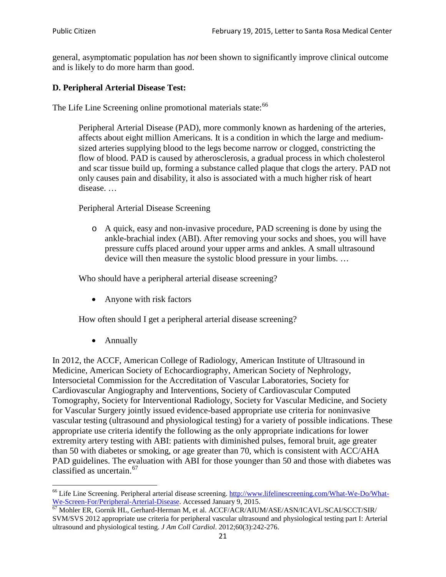general, asymptomatic population has *not* been shown to significantly improve clinical outcome and is likely to do more harm than good.

# **D. Peripheral Arterial Disease Test:**

The Life Line Screening online promotional materials state:<sup>[66](#page-20-0)</sup>

Peripheral Arterial Disease (PAD), more commonly known as hardening of the arteries, affects about eight million Americans. It is a condition in which the large and mediumsized arteries supplying blood to the legs become narrow or clogged, constricting the flow of blood. PAD is caused by atherosclerosis, a gradual process in which cholesterol and scar tissue build up, forming a substance called plaque that clogs the artery. PAD not only causes pain and disability, it also is associated with a much higher risk of heart disease. …

Peripheral Arterial Disease Screening

o A quick, easy and non-invasive procedure, PAD screening is done by using the ankle-brachial index (ABI). After removing your socks and shoes, you will have pressure cuffs placed around your upper arms and ankles. A small ultrasound device will then measure the systolic blood pressure in your limbs. …

Who should have a peripheral arterial disease screening?

• Anyone with risk factors

How often should I get a peripheral arterial disease screening?

• Annually

In 2012, the ACCF, American College of Radiology, American Institute of Ultrasound in Medicine, American Society of Echocardiography, American Society of Nephrology, Intersocietal Commission for the Accreditation of Vascular Laboratories, Society for Cardiovascular Angiography and Interventions, Society of Cardiovascular Computed Tomography, Society for Interventional Radiology, Society for Vascular Medicine, and Society for Vascular Surgery jointly issued evidence-based appropriate use criteria for noninvasive vascular testing (ultrasound and physiological testing) for a variety of possible indications. These appropriate use criteria identify the following as the only appropriate indications for lower extremity artery testing with ABI: patients with diminished pulses, femoral bruit, age greater than 50 with diabetes or smoking, or age greater than 70, which is consistent with ACC/AHA PAD guidelines. The evaluation with ABI for those younger than 50 and those with diabetes was classified as uncertain.<sup>[67](#page-20-1)</sup>

<span id="page-20-0"></span><sup>&</sup>lt;sup>66</sup> Life Line Screening. Peripheral arterial disease screening. [http://www.lifelinescreening.com/What-We-Do/What-](http://www.lifelinescreening.com/What-We-Do/What-We-Screen-For/Peripheral-Arterial-Disease)[We-Screen-For/Peripheral-Arterial-Disease.](http://www.lifelinescreening.com/What-We-Do/What-We-Screen-For/Peripheral-Arterial-Disease) Accessed January 9, 2015.<br><sup>67</sup> Mohler ER, Gornik HL, Gerhard-Herman M, et al. ACCF/ACR/AIUM/ASE/ASN/ICAVL/SCAI/SCCT/SIR/

<span id="page-20-1"></span>SVM/SVS 2012 appropriate use criteria for peripheral vascular ultrasound and physiological testing part I: Arterial ultrasound and physiological testing. *J Am Coll Cardiol*. 2012;60(3):242-276.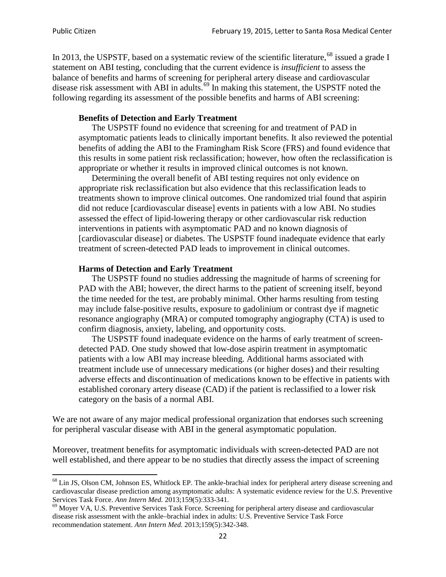In 2013, the USPSTF, based on a systematic review of the scientific literature,<sup>[68](#page-21-0)</sup> issued a grade I statement on ABI testing, concluding that the current evidence is *insufficient* to assess the balance of benefits and harms of screening for peripheral artery disease and cardiovascular disease risk assessment with ABI in adults.<sup>[69](#page-21-1)</sup> In making this statement, the USPSTF noted the following regarding its assessment of the possible benefits and harms of ABI screening:

### **Benefits of Detection and Early Treatment**

The USPSTF found no evidence that screening for and treatment of PAD in asymptomatic patients leads to clinically important benefits. It also reviewed the potential benefits of adding the ABI to the Framingham Risk Score (FRS) and found evidence that this results in some patient risk reclassification; however, how often the reclassification is appropriate or whether it results in improved clinical outcomes is not known.

Determining the overall benefit of ABI testing requires not only evidence on appropriate risk reclassification but also evidence that this reclassification leads to treatments shown to improve clinical outcomes. One randomized trial found that aspirin did not reduce [cardiovascular disease] events in patients with a low ABI. No studies assessed the effect of lipid-lowering therapy or other cardiovascular risk reduction interventions in patients with asymptomatic PAD and no known diagnosis of [cardiovascular disease] or diabetes. The USPSTF found inadequate evidence that early treatment of screen-detected PAD leads to improvement in clinical outcomes.

#### **Harms of Detection and Early Treatment**

The USPSTF found no studies addressing the magnitude of harms of screening for PAD with the ABI; however, the direct harms to the patient of screening itself, beyond the time needed for the test, are probably minimal. Other harms resulting from testing may include false-positive results, exposure to gadolinium or contrast dye if magnetic resonance angiography (MRA) or computed tomography angiography (CTA) is used to confirm diagnosis, anxiety, labeling, and opportunity costs.

The USPSTF found inadequate evidence on the harms of early treatment of screendetected PAD. One study showed that low-dose aspirin treatment in asymptomatic patients with a low ABI may increase bleeding. Additional harms associated with treatment include use of unnecessary medications (or higher doses) and their resulting adverse effects and discontinuation of medications known to be effective in patients with established coronary artery disease (CAD) if the patient is reclassified to a lower risk category on the basis of a normal ABI.

We are not aware of any major medical professional organization that endorses such screening for peripheral vascular disease with ABI in the general asymptomatic population.

Moreover, treatment benefits for asymptomatic individuals with screen-detected PAD are not well established, and there appear to be no studies that directly assess the impact of screening

<span id="page-21-0"></span><sup>&</sup>lt;sup>68</sup> Lin JS, Olson CM, Johnson ES, Whitlock EP. The ankle-brachial index for peripheral artery disease screening and cardiovascular disease prediction among asymptomatic adults: A systematic evidence review for the U.S. Preventive Services Task Force. *Ann Intern Med.* 2013;159(5):333-341.<br><sup>69</sup> Moyer VA, U.S. Preventive Services Task Force. Screening for peripheral artery disease and cardiovascular

<span id="page-21-1"></span>disease risk assessment with the ankle–brachial index in adults: U.S. Preventive Service Task Force recommendation statement. *Ann Intern Med.* 2013;159(5):342-348.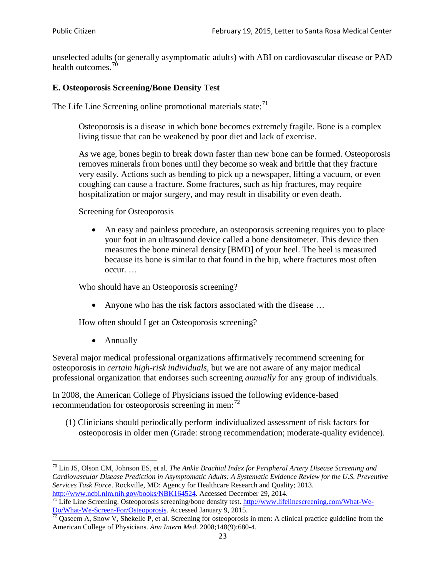unselected adults (or generally asymptomatic adults) with ABI on cardiovascular disease or PAD health outcomes.<sup>[70](#page-22-0)</sup>

# **E. Osteoporosis Screening/Bone Density Test**

The Life Line Screening online promotional materials state: $71$ 

Osteoporosis is a disease in which bone becomes extremely fragile. Bone is a complex living tissue that can be weakened by poor diet and lack of exercise.

As we age, bones begin to break down faster than new bone can be formed. Osteoporosis removes minerals from bones until they become so weak and brittle that they fracture very easily. Actions such as bending to pick up a newspaper, lifting a vacuum, or even coughing can cause a fracture. Some fractures, such as hip fractures, may require hospitalization or major surgery, and may result in disability or even death.

Screening for Osteoporosis

• An easy and painless procedure, an osteoporosis screening requires you to place your foot in an ultrasound device called a bone densitometer. This device then measures the bone mineral density [BMD] of your heel. The heel is measured because its bone is similar to that found in the hip, where fractures most often occur. …

Who should have an Osteoporosis screening?

• Anyone who has the risk factors associated with the disease ...

How often should I get an Osteoporosis screening?

• Annually

Several major medical professional organizations affirmatively recommend screening for osteoporosis in *certain high-risk individuals*, but we are not aware of any major medical professional organization that endorses such screening *annually* for any group of individuals.

In 2008, the American College of Physicians issued the following evidence-based recommendation for osteoporosis screening in men: $^{72}$  $^{72}$  $^{72}$ 

(1) Clinicians should periodically perform individualized assessment of risk factors for osteoporosis in older men (Grade: strong recommendation; moderate-quality evidence).

<span id="page-22-0"></span><sup>70</sup> [Lin JS,](http://www.ncbi.nlm.nih.gov/pubmed?term=Lin%20JS%5BAuthor%5D&cauthor=true&cauthor_uid=24156115) [Olson CM,](http://www.ncbi.nlm.nih.gov/pubmed?term=Olson%20CM%5BAuthor%5D&cauthor=true&cauthor_uid=24156115) [Johnson ES,](http://www.ncbi.nlm.nih.gov/pubmed?term=Johnson%20ES%5BAuthor%5D&cauthor=true&cauthor_uid=24156115) et al. *The Ankle Brachial Index for Peripheral Artery Disease Screening and Cardiovascular Disease Prediction in Asymptomatic Adults: A Systematic Evidence Review for the U.S. Preventive Services Task Force*. Rockville, MD: Agency for Healthcare Research and Quality; 2013.<br>http://www.ncbi.nlm.nih.gov/books/NBK164524. Accessed December 29, 2014.

<span id="page-22-1"></span> $\frac{1}{71}$  Life Line Screening. Osteoporosis screening/bone density test. [http://www.lifelinescreening.com/What-We-](http://www.lifelinescreening.com/What-We-Do/What-We-Screen-For/Osteoporosis)[Do/What-We-Screen-For/Osteoporosis.](http://www.lifelinescreening.com/What-We-Do/What-We-Screen-For/Osteoporosis) Accessed January 9, 2015. <sup>72</sup> Qaseem A, Snow V, Shekelle P, et al. Screening for osteoporosis in men: A clinical practice guideline from the

<span id="page-22-2"></span>American College of Physicians. *Ann Intern Med*. 2008;148(9):680-4.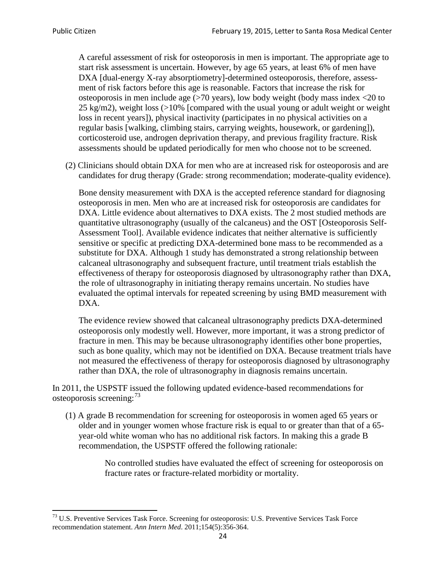A careful assessment of risk for osteoporosis in men is important. The appropriate age to start risk assessment is uncertain. However, by age 65 years, at least 6% of men have DXA [dual-energy X-ray absorptiometry]-determined osteoporosis, therefore, assessment of risk factors before this age is reasonable. Factors that increase the risk for osteoporosis in men include age (>70 years), low body weight (body mass index <20 to 25 kg/m2), weight loss (>10% [compared with the usual young or adult weight or weight loss in recent years]), physical inactivity (participates in no physical activities on a regular basis [walking, climbing stairs, carrying weights, housework, or gardening]), corticosteroid use, androgen deprivation therapy, and previous fragility fracture. Risk assessments should be updated periodically for men who choose not to be screened.

(2) Clinicians should obtain DXA for men who are at increased risk for osteoporosis and are candidates for drug therapy (Grade: strong recommendation; moderate-quality evidence).

Bone density measurement with DXA is the accepted reference standard for diagnosing osteoporosis in men. Men who are at increased risk for osteoporosis are candidates for DXA. Little evidence about alternatives to DXA exists. The 2 most studied methods are quantitative ultrasonography (usually of the calcaneus) and the OST [Osteoporosis Self-Assessment Tool]. Available evidence indicates that neither alternative is sufficiently sensitive or specific at predicting DXA-determined bone mass to be recommended as a substitute for DXA. Although 1 study has demonstrated a strong relationship between calcaneal ultrasonography and subsequent fracture, until treatment trials establish the effectiveness of therapy for osteoporosis diagnosed by ultrasonography rather than DXA, the role of ultrasonography in initiating therapy remains uncertain. No studies have evaluated the optimal intervals for repeated screening by using BMD measurement with DXA.

The evidence review showed that calcaneal ultrasonography predicts DXA-determined osteoporosis only modestly well. However, more important, it was a strong predictor of fracture in men. This may be because ultrasonography identifies other bone properties, such as bone quality, which may not be identified on DXA. Because treatment trials have not measured the effectiveness of therapy for osteoporosis diagnosed by ultrasonography rather than DXA, the role of ultrasonography in diagnosis remains uncertain.

In 2011, the USPSTF issued the following updated evidence-based recommendations for osteoporosis screening:<sup>[73](#page-23-0)</sup>

(1) A grade B recommendation for screening for osteoporosis in women aged 65 years or older and in younger women whose fracture risk is equal to or greater than that of a 65 year-old white woman who has no additional risk factors. In making this a grade B recommendation, the USPSTF offered the following rationale:

> No controlled studies have evaluated the effect of screening for osteoporosis on fracture rates or fracture-related morbidity or mortality.

<span id="page-23-0"></span><sup>&</sup>lt;sup>73</sup> U.S. Preventive Services Task Force. Screening for osteoporosis: U.S. Preventive Services Task Force recommendation statement. *Ann Intern Med*. 2011;154(5):356-364.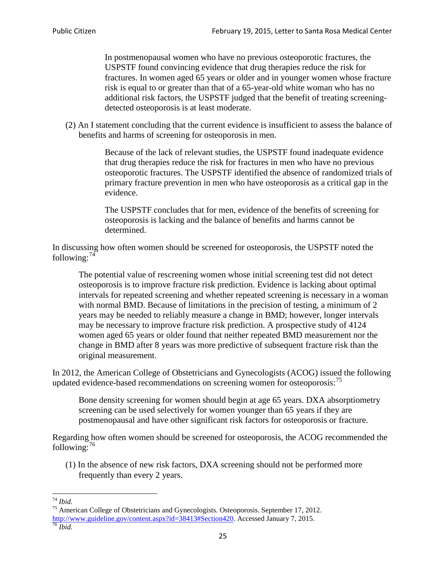In postmenopausal women who have no previous osteoporotic fractures, the USPSTF found convincing evidence that drug therapies reduce the risk for fractures. In women aged 65 years or older and in younger women whose fracture risk is equal to or greater than that of a 65-year-old white woman who has no additional risk factors, the USPSTF judged that the benefit of treating screeningdetected osteoporosis is at least moderate.

(2) An I statement concluding that the current evidence is insufficient to assess the balance of benefits and harms of screening for osteoporosis in men.

> Because of the lack of relevant studies, the USPSTF found inadequate evidence that drug therapies reduce the risk for fractures in men who have no previous osteoporotic fractures. The USPSTF identified the absence of randomized trials of primary fracture prevention in men who have osteoporosis as a critical gap in the evidence.

The USPSTF concludes that for men, evidence of the benefits of screening for osteoporosis is lacking and the balance of benefits and harms cannot be determined.

In discussing how often women should be screened for osteoporosis, the USPSTF noted the following: $74$ 

The potential value of rescreening women whose initial screening test did not detect osteoporosis is to improve fracture risk prediction. Evidence is lacking about optimal intervals for repeated screening and whether repeated screening is necessary in a woman with normal BMD. Because of limitations in the precision of testing, a minimum of 2 years may be needed to reliably measure a change in BMD; however, longer intervals may be necessary to improve fracture risk prediction. A prospective study of 4124 women aged 65 years or older found that neither repeated BMD measurement nor the change in BMD after 8 years was more predictive of subsequent fracture risk than the original measurement.

In 2012, the American College of Obstetricians and Gynecologists (ACOG) issued the following updated evidence-based recommendations on screening women for osteoporosis:<sup>[75](#page-24-1)</sup>

Bone density screening for women should begin at age 65 years. DXA absorptiometry screening can be used selectively for women younger than 65 years if they are postmenopausal and have other significant risk factors for osteoporosis or fracture.

Regarding how often women should be screened for osteoporosis, the ACOG recommended the following: $^{76}$  $^{76}$  $^{76}$ 

(1) In the absence of new risk factors, DXA screening should not be performed more frequently than every 2 years.

<span id="page-24-2"></span><span id="page-24-1"></span><span id="page-24-0"></span><sup>74</sup> *Ibid.* <sup>75</sup> American College of Obstetricians and Gynecologists. Osteoporosis. September 17, 2012. [http://www.guideline.gov/content.aspx?id=38413#Section420.](http://www.guideline.gov/content.aspx?id=38413#Section420) Accessed January 7, 2015.<br><sup>76</sup> *Ibid.*